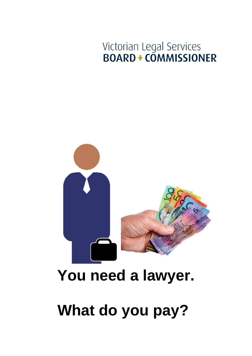# Victorian Legal Services<br>BOARD + COMMISSIONER



## **You need a lawyer.**

# **What do you pay?**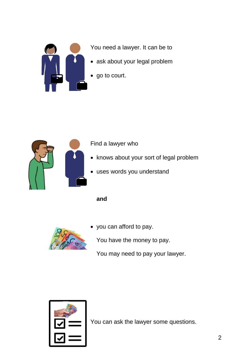

You need a lawyer. It can be to

- ask about your legal problem
- go to court.



#### Find a lawyer who

- knows about your sort of legal problem
- uses words you understand

**and**



you can afford to pay.

You have the money to pay.

You may need to pay your lawyer.



You can ask the lawyer some questions.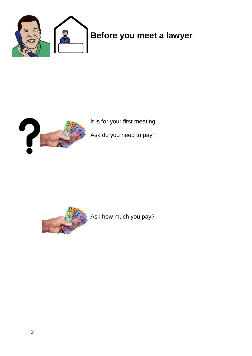



It is for your first meeting.

Ask do you need to pay?



Ask how much you pay?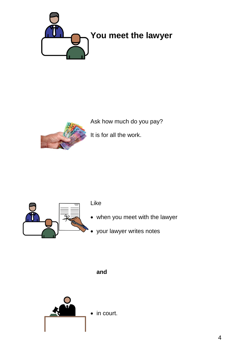



Ask how much do you pay?

It is for all the work.



#### Like

- when you meet with the lawyer
- your lawyer writes notes

**and**

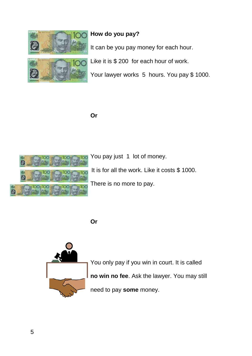

#### **How do you pay?**

It can be you pay money for each hour.

Like it is \$ 200 for each hour of work.

Your lawyer works 5 hours. You pay \$1000.

**Or**



You pay just 1 lot of money.

It is for all the work. Like it costs \$ 1000.

There is no more to pay.

**Or**



You only pay if you win in court. It is called **no win no fee**. Ask the lawyer. You may still need to pay **some** money.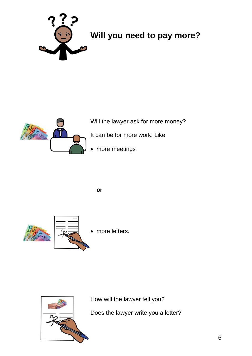

### **Will you need to pay more?**



Will the lawyer ask for more money?

It can be for more work. Like

more meetings

**or**





How will the lawyer tell you?

Does the lawyer write you a letter?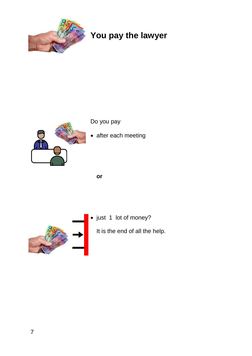

### **You pay the lawyer**



Do you pay

• after each meeting

**or**



• just 1 lot of money?

It is the end of all the help.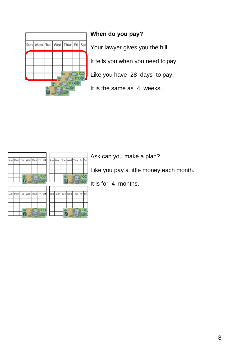

#### **When do you pay?**

Your lawyer gives you the bill.

It tells you when you need to pay

Like you have 28 days to pay.

It is the same as 4 weeks.

|  |  | Sun   Mon   Tue   Wed   Thur   Fri   Sat |  |
|--|--|------------------------------------------|--|
|  |  |                                          |  |
|  |  |                                          |  |
|  |  |                                          |  |
|  |  |                                          |  |

|  |  | Sun Mon Tue Wed Thur Fri Sat |  |
|--|--|------------------------------|--|
|  |  |                              |  |
|  |  |                              |  |
|  |  |                              |  |

Ask can you make a plan?

Like you pay a little money each month.

It is for 4 months.

| Sun Mon Tue Wed Thur Fri Sat |  |  |  |
|------------------------------|--|--|--|
|                              |  |  |  |
|                              |  |  |  |
|                              |  |  |  |

|  |  | Sun Mon Tue Wed Thur Fri Sat |  |
|--|--|------------------------------|--|
|  |  |                              |  |
|  |  |                              |  |
|  |  |                              |  |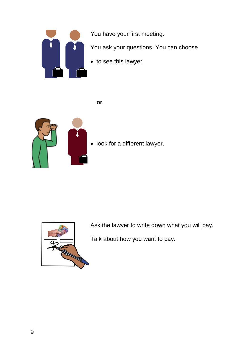

You have your first meeting.

You ask your questions. You can choose

to see this lawyer

**or**



• look for a different lawyer.



Ask the lawyer to write down what you will pay.

Talk about how you want to pay.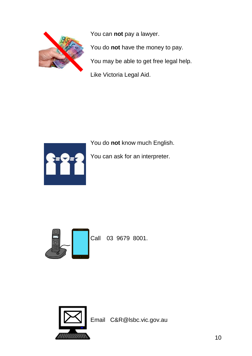

You can **not** pay a lawyer. You do **not** have the money to pay. You may be able to get free legal help. Like Victoria Legal Aid.



You do **not** know much English.

You can ask for an interpreter.



Call 03 9679 8001.



Email C&R@lsbc.vic.gov.au